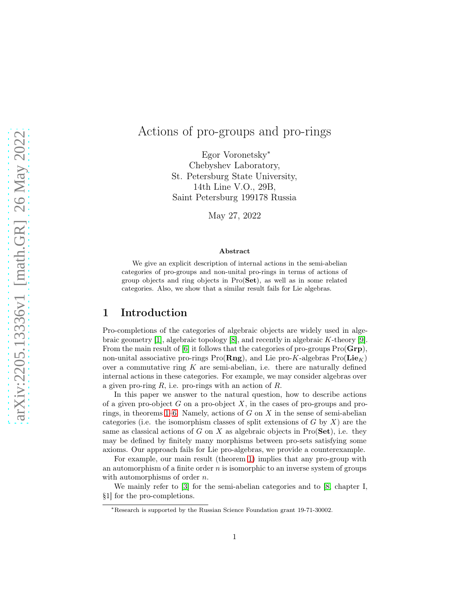# Actions of pro-groups and pro-rings

Egor Voronetsky<sup>∗</sup> Chebyshev Laboratory, St. Petersburg State University, 14th Line V.O., 29B, Saint Petersburg 199178 Russia

May 27, 2022

#### Abstract

We give an explicit description of internal actions in the semi-abelian categories of pro-groups and non-unital pro-rings in terms of actions of group objects and ring objects in Pro(Set), as well as in some related categories. Also, we show that a similar result fails for Lie algebras.

# 1 Introduction

Pro-completions of the categories of algebraic objects are widely used in alge-braic geometry [\[1\]](#page-13-0), algebraic topology [\[8\]](#page-14-0), and recently in algebraic K-theory [\[9\]](#page-14-1). From the main result of [\[6\]](#page-13-1) it follows that the categories of pro-groups  $\text{Pro}(\mathbf{Grp})$ , non-unital associative pro-rings Pro( $\mathbf{Rng}$ ), and Lie pro-K-algebras Pro( $\mathbf{Lie}_K$ ) over a commutative ring  $K$  are semi-abelian, i.e. there are naturally defined internal actions in these categories. For example, we may consider algebras over a given pro-ring  $R$ , i.e. pro-rings with an action of  $R$ .

In this paper we answer to the natural question, how to describe actions of a given pro-object  $G$  on a pro-object  $X$ , in the cases of pro-groups and pro-rings, in theorems [1](#page-8-0)[–6.](#page-13-2) Namely, actions of G on X in the sense of semi-abelian categories (i.e. the isomorphism classes of split extensions of  $G$  by  $X$ ) are the same as classical actions of G on X as algebraic objects in  $Pro(Set)$ , i.e. they may be defined by finitely many morphisms between pro-sets satisfying some axioms. Our approach fails for Lie pro-algebras, we provide a counterexample.

For example, our main result (theorem [1\)](#page-8-0) implies that any pro-group with an automorphism of a finite order  $n$  is isomorphic to an inverse system of groups with automorphisms of order *n*.

We mainly refer to [\[3\]](#page-13-3) for the semi-abelian categories and to [\[8,](#page-14-0) chapter I, §1] for the pro-completions.

<sup>∗</sup>Research is supported by the Russian Science Foundation grant 19-71-30002.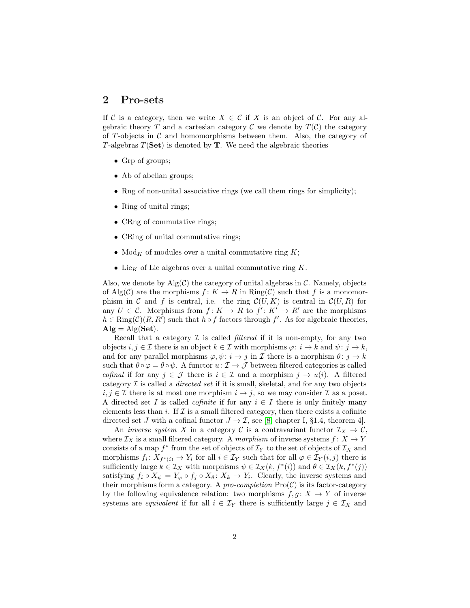#### 2 Pro-sets

If C is a category, then we write  $X \in \mathcal{C}$  if X is an object of C. For any algebraic theory T and a cartesian category C we denote by  $T(\mathcal{C})$  the category of T-objects in  $\mathcal C$  and homomorphisms between them. Also, the category of T-algebras  $T(\text{Set})$  is denoted by **T**. We need the algebraic theories

- Grp of groups;
- Ab of abelian groups;
- Rng of non-unital associative rings (we call them rings for simplicity);
- Ring of unital rings;
- CRng of commutative rings;
- CRing of unital commutative rings;
- Mod<sub>K</sub> of modules over a unital commutative ring  $K$ ;
- Lie<sub>K</sub> of Lie algebras over a unital commutative ring K.

Also, we denote by  $\text{Alg}(\mathcal{C})$  the category of unital algebras in  $\mathcal{C}$ . Namely, objects of Alg(C) are the morphisms  $f: K \to R$  in  $\text{Ring}(\mathcal{C})$  such that f is a monomorphism in C and f is central, i.e. the ring  $\mathcal{C}(U, K)$  is central in  $\mathcal{C}(U, R)$  for any  $U \in \mathcal{C}$ . Morphisms from  $f: K \to R$  to  $f': K' \to R'$  are the morphisms  $h \in \text{Ring}(\mathcal{C})(R, R')$  such that  $h \circ f$  factors through  $f'$ . As for algebraic theories,  $\mathbf{Alg} = \mathrm{Alg}(\mathbf{Set}).$ 

Recall that a category  $\mathcal I$  is called *filtered* if it is non-empty, for any two objects  $i, j \in \mathcal{I}$  there is an object  $k \in \mathcal{I}$  with morphisms  $\varphi: i \to k$  and  $\psi: j \to k$ . and for any parallel morphisms  $\varphi, \psi : i \to j$  in  $\mathcal I$  there is a morphism  $\theta : j \to k$ such that  $\theta \circ \varphi = \theta \circ \psi$ . A functor  $u: \mathcal{I} \to \mathcal{J}$  between filtered categories is called *cofinal* if for any  $j \in \mathcal{J}$  there is  $i \in \mathcal{I}$  and a morphism  $j \to u(i)$ . A filtered category I is called a *directed set* if it is small, skeletal, and for any two objects  $i, j \in \mathcal{I}$  there is at most one morphism  $i \to j$ , so we may consider  $\mathcal{I}$  as a poset. A directed set I is called *cofinite* if for any  $i \in I$  there is only finitely many elements less than i. If  $\mathcal I$  is a small filtered category, then there exists a cofinite directed set J with a cofinal functor  $J \to \mathcal{I}$ , see [\[8,](#page-14-0) chapter I, §1.4, theorem 4].

An *inverse system* X in a category C is a contravariant functor  $\mathcal{I}_X \to \mathcal{C}$ , where  $\mathcal{I}_X$  is a small filtered category. A *morphism* of inverse systems  $f: X \to Y$ consists of a map  $f^*$  from the set of objects of  $\mathcal{I}_Y$  to the set of objects of  $\mathcal{I}_X$  and morphisms  $f_i: X_{f^*(i)} \to Y_i$  for all  $i \in \mathcal{I}_Y$  such that for all  $\varphi \in \mathcal{I}_Y(i,j)$  there is sufficiently large  $k \in \mathcal{I}_X$  with morphisms  $\psi \in \mathcal{I}_X(k, f^*(i))$  and  $\theta \in \mathcal{I}_X(k, f^*(j))$ satisfying  $f_i \circ X_\psi = Y_\varphi \circ f_j \circ X_\theta \colon X_k \to Y_i$ . Clearly, the inverse systems and their morphisms form a category. A *pro-completion*  $\text{Pro}(\mathcal{C})$  is its factor-category by the following equivalence relation: two morphisms  $f, g: X \to Y$  of inverse systems are *equivalent* if for all  $i \in \mathcal{I}_Y$  there is sufficiently large  $j \in \mathcal{I}_X$  and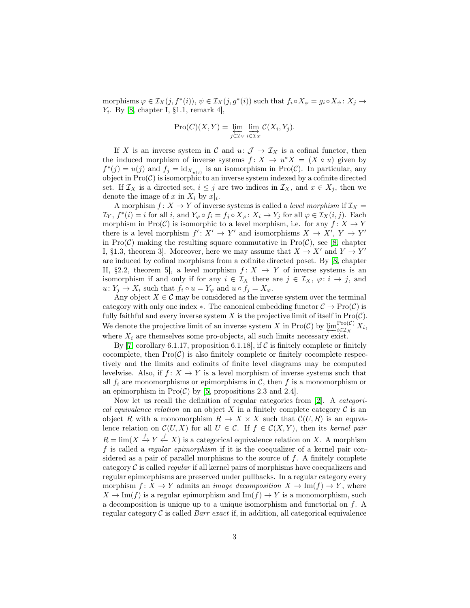morphisms  $\varphi \in \mathcal{I}_X(j, f^*(i)), \psi \in \mathcal{I}_X(j, g^*(i))$  such that  $f_i \circ X_{\varphi} = g_i \circ X_{\psi} : X_j \to$  $Y_i$ . By [\[8,](#page-14-0) chapter I, §1.1, remark 4],

$$
\mathrm{Pro}(C)(X,Y) = \varprojlim_{j \in \mathcal{I}_Y} \lim_{i \in \mathcal{I}_X} C(X_i, Y_j).
$$

If X is an inverse system in C and  $u: \mathcal{J} \to \mathcal{I}_X$  is a cofinal functor, then the induced morphism of inverse systems  $f: X \to u^*X = (X \circ u)$  given by  $f^*(j) = u(j)$  and  $f_j = id_{X_{u(j)}}$  is an isomorphism in Pro(C). In particular, any object in  $\text{Pro}(\mathcal{C})$  is isomorphic to an inverse system indexed by a cofinite directed set. If  $\mathcal{I}_X$  is a directed set,  $i \leq j$  are two indices in  $\mathcal{I}_X$ , and  $x \in X_j$ , then we denote the image of x in  $X_i$  by  $x|_i$ .

A morphism  $f: X \to Y$  of inverse systems is called a *level morphism* if  $\mathcal{I}_X$  =  $\mathcal{I}_Y$ ,  $f^*(i) = i$  for all i, and  $Y_{\varphi} \circ f_i = f_j \circ X_{\varphi} : X_i \to Y_j$  for all  $\varphi \in \mathcal{I}_X(i, j)$ . Each morphism in Pro(C) is isomorphic to a level morphism, i.e. for any  $f: X \to Y$ there is a level morphism  $f' : X' \to Y'$  and isomorphisms  $X \to X'$ ,  $Y \to Y'$ in  $Pro(\mathcal{C})$  making the resulting square commutative in  $Pro(\mathcal{C})$ , see [\[8,](#page-14-0) chapter I, §1.3, theorem 3. Moreover, here we may assume that  $X \to X'$  and  $Y \to Y'$ are induced by cofinal morphisms from a cofinite directed poset. By [\[8,](#page-14-0) chapter II, §2.2, theorem 5, a level morphism  $f: X \to Y$  of inverse systems is an isomorphism if and only if for any  $i \in \mathcal{I}_X$  there are  $j \in \mathcal{I}_X$ ,  $\varphi: i \to j$ , and  $u: Y_j \to X_i$  such that  $f_i \circ u = Y_{\varphi}$  and  $u \circ f_j = X_{\varphi}$ .

Any object  $X \in \mathcal{C}$  may be considered as the inverse system over the terminal category with only one index  $\ast$ . The canonical embedding functor  $\mathcal{C} \to \text{Pro}(\mathcal{C})$  is fully faithful and every inverse system X is the projective limit of itself in  $Pro(C)$ . We denote the projective limit of an inverse system X in Pro(C) by  $\varprojlim_{i \in \mathcal{I}_X}^{\text{Pro}(\mathcal{C})}$  $\prod_{i\in\mathcal{I}_X}^{\text{Pro}(\mathcal{C})} X_i,$ where  $X_i$  are themselves some pro-objects, all such limits necessary exist.

By [\[7,](#page-14-2) corollary 6.1.17, proposition 6.1.18], if  $\mathcal C$  is finitely complete or finitely cocomplete, then  $Pro(C)$  is also finitely complete or finitely cocomplete respectively and the limits and colimits of finite level diagrams may be computed levelwise. Also, if  $f: X \to Y$  is a level morphism of inverse systems such that all  $f_i$  are monomorphisms or epimorphisms in C, then f is a monomorphism or an epimorphism in  $\text{Pro}(\mathcal{C})$  by [\[5,](#page-13-4) propositions 2.3 and 2.4].

Now let us recall the definition of regular categories from [\[2\]](#page-13-5). A *categorical equivalence relation* on an object  $X$  in a finitely complete category  $\mathcal C$  is an object R with a monomorphism  $R \to X \times X$  such that  $\mathcal{C}(U, R)$  is an equvalence relation on  $\mathcal{C}(U, X)$  for all  $U \in \mathcal{C}$ . If  $f \in \mathcal{C}(X, Y)$ , then its *kernel pair*  $R = \lim(X \stackrel{f}{\to} Y \stackrel{f}{\leftarrow} X)$  is a categorical equivalence relation on X. A morphism f is called a *regular epimorphism* if it is the coequalizer of a kernel pair considered as a pair of parallel morphisms to the source of  $f$ . A finitely complete category C is called *regular* if all kernel pairs of morphisms have coequalizers and regular epimorphisms are preserved under pullbacks. In a regular category every morphism  $f: X \to Y$  admits an *image decomposition*  $X \to \text{Im}(f) \to Y$ , where  $X \to \text{Im}(f)$  is a regular epimorphism and  $\text{Im}(f) \to Y$  is a monomorphism, such a decomposition is unique up to a unique isomorphism and functorial on f. A regular category  $C$  is called *Barr exact* if, in addition, all categorical equivalence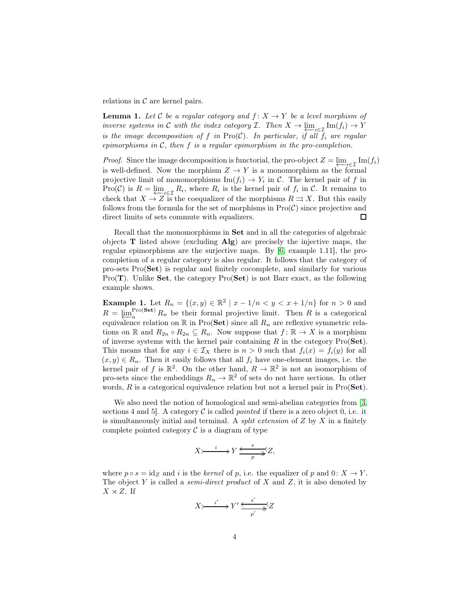relations in  $\mathcal C$  are kernel pairs.

**Lemma 1.** Let C be a regular category and  $f: X \to Y$  be a level morphism of *inverse systems in* C *with the index category* I. Then  $X \to \varprojlim_{i \in \mathcal{I}} \text{Im}(f_i) \to Y$ *is the image decomposition of* f *in*  $\text{Pro}(\mathcal{C})$ *. In particular, if all*  $f_i$  *are regular epimorphisms in* C*, then* f *is a regular epimorphism in the pro-completion.*

*Proof.* Since the image decomposition is functorial, the pro-object  $Z = \lim_{\epsilon \to 1^-} \text{Im}(f_i)$ is well-defined. Now the morphism  $Z \to Y$  is a monomorphism as the formal projective limit of monomorphisms  $\text{Im}(f_i) \to Y_i$  in C. The kernel pair of f in  $\text{Pro}(\mathcal{C})$  is  $R = \varprojlim_{i \in \mathcal{I}} R_i$ , where  $R_i$  is the kernel pair of  $f_i$  in  $\mathcal{C}$ . It remains to check that  $X \to Z$  is the coequalizer of the morphisms  $R \rightrightarrows X$ . But this easily follows from the formula for the set of morphisms in  $\text{Pro}(\mathcal{C})$  since projective and direct limits of sets commute with equalizers.  $\Box$ 

Recall that the monomorphisms in Set and in all the categories of algebraic objects  $T$  listed above (excluding  $\mathbf{Alg}$ ) are precisely the injective maps, the regular epimorphisms are the surjective maps. By [\[6,](#page-13-1) example 1.11], the procompletion of a regular category is also regular. It follows that the category of pro-sets Pro(Set) is regular and finitely cocomplete, and similarly for various Pro $(T)$ . Unlike Set, the category Pro $(Set)$  is not Barr exact, as the following example shows.

**Example 1.** Let  $R_n = \{(x, y) \in \mathbb{R}^2 \mid x - 1/n < y < x + 1/n\}$  for  $n > 0$  and  $R = \underbrace{\lim_{n} \text{Pro}(\mathbf{Set})}_{n}$  $n^{Proof 2}R_n$  be their formal projective limit. Then R is a categorical equivalence relation on  $\mathbb R$  in Pro(Set) since all  $R_n$  are reflexive symmetric relations on R and  $R_{2n} \circ R_{2n} \subseteq R_n$ . Now suppose that  $f: \mathbb{R} \to X$  is a morphism of inverse systems with the kernel pair containing  $R$  in the category  $Pro(Set)$ . This means that for any  $i \in \mathcal{I}_X$  there is  $n > 0$  such that  $f_i(x) = f_i(y)$  for all  $(x, y) \in R_n$ . Then it easily follows that all  $f_i$  have one-element images, i.e. the kernel pair of f is  $\mathbb{R}^2$ . On the other hand,  $R \to \mathbb{R}^2$  is not an isomorphism of pro-sets since the embeddings  $R_n \to \mathbb{R}^2$  of sets do not have sections. In other words,  $R$  is a categorical equivalence relation but not a kernel pair in  $Pro(Set)$ .

We also need the notion of homological and semi-abelian categories from [\[3,](#page-13-3) sections 4 and 5. A category  $\mathcal C$  is called *pointed* if there is a zero object 0, i.e. it is simultaneously initial and terminal. A *split extension* of Z by X in a finitely complete pointed category  $\mathcal C$  is a diagram of type

$$
X \rightarrow \xrightarrow{i} Y \xrightarrow{s} Z,
$$

where  $p \circ s = id_Z$  and i is the *kernel* of p, i.e. the equalizer of p and  $0: X \to Y$ . The object Y is called a *semi-direct product* of X and Z, it is also denoted by  $X \rtimes Z$ . If

$$
X \!\!\succ\!\!\!\stackrel{i'}{\xrightarrow{\hspace*{1.5cm}}} Y' \stackrel{s'}{\xrightarrow{\hspace*{1.5cm}}} \overline{p'}Z
$$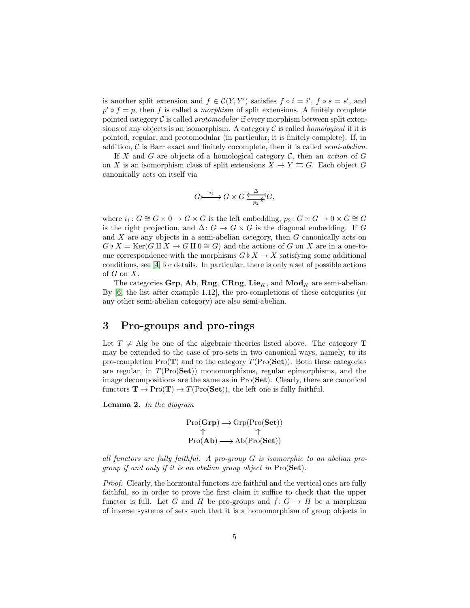is another split extension and  $f \in \mathcal{C}(Y, Y')$  satisfies  $f \circ i = i'$ ,  $f \circ s = s'$ , and  $p' \circ f = p$ , then f is called a *morphism* of split extensions. A finitely complete pointed category C is called *protomodular* if every morphism between split extensions of any objects is an isomorphism. A category C is called *homological* if it is pointed, regular, and protomodular (in particular, it is finitely complete). If, in addition, C is Barr exact and finitely cocomplete, then it is called *semi-abelian*.

If  $X$  and  $G$  are objects of a homological category  $C$ , then an *action* of  $G$ on X is an isomorphism class of split extensions  $X \to Y \leftrightarrows G$ . Each object G canonically acts on itself via

$$
G \rightarrow^{i_1} G \times G \xrightarrow{\Delta} G,
$$

where  $i_1: G \cong G \times 0 \to G \times G$  is the left embedding,  $p_2: G \times G \to 0 \times G \cong G$ is the right projection, and  $\Delta: G \to G \times G$  is the diagonal embedding. If G and  $X$  are any objects in a semi-abelian category, then  $G$  canonically acts on  $G \flat X = \text{Ker}(G \amalg X \to G \amalg 0 \cong G)$  and the actions of G on X are in a one-toone correspondence with the morphisms  $G \flat X \to X$  satisfying some additional conditions, see [\[4\]](#page-13-6) for details. In particular, there is only a set of possible actions of  $G$  on  $X$ .

The categories Grp, Ab, Rng, CRng, Lie<sub>K</sub>, and  $\text{Mod}_K$  are semi-abelian. By [\[6,](#page-13-1) the list after example 1.12], the pro-completions of these categories (or any other semi-abelian category) are also semi-abelian.

### 3 Pro-groups and pro-rings

Let  $T \neq$  Alg be one of the algebraic theories listed above. The category T may be extended to the case of pro-sets in two canonical ways, namely, to its pro-completion  $Pro(T)$  and to the category  $T(Pro(Set))$ . Both these categories are regular, in  $T(Pro(Set))$  monomorphisms, regular epimorphisms, and the image decompositions are the same as in Pro(Set). Clearly, there are canonical functors  $\mathbf{T} \to \text{Pro}(\mathbf{T}) \to T(\text{Pro}(\mathbf{Set}))$ , the left one is fully faithful.

<span id="page-4-0"></span>Lemma 2. *In the diagram*

$$
\begin{array}{c}\n\text{Pro}(\mathbf{Grp}) \longrightarrow \text{Grp}(\text{Pro}(\mathbf{Set})) \\
\uparrow \qquad \uparrow \qquad \uparrow \\
\text{Pro}(\mathbf{Ab}) \longrightarrow \text{Ab}(\text{Pro}(\mathbf{Set}))\n\end{array}
$$

*all functors are fully faithful. A pro-group* G *is isomorphic to an abelian progroup if and only if it is an abelian group object in* Pro(Set)*.*

*Proof.* Clearly, the horizontal functors are faithful and the vertical ones are fully faithful, so in order to prove the first claim it suffice to check that the upper functor is full. Let G and H be pro-groups and  $f: G \to H$  be a morphism of inverse systems of sets such that it is a homomorphism of group objects in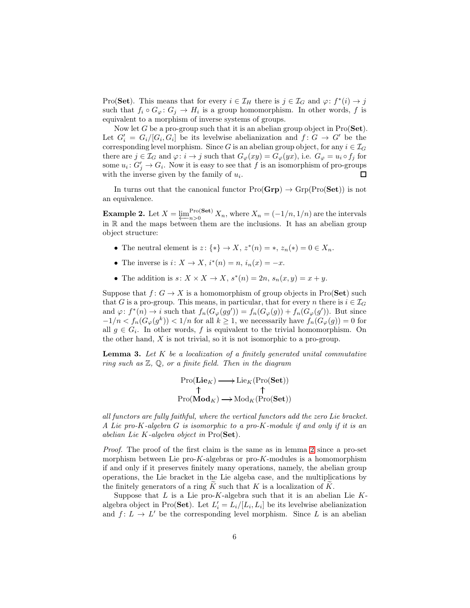Pro(Set). This means that for every  $i \in \mathcal{I}_H$  there is  $j \in \mathcal{I}_G$  and  $\varphi: f^*(i) \to j$ such that  $f_i \circ G_\varphi: G_j \to H_i$  is a group homomorphism. In other words, f is equivalent to a morphism of inverse systems of groups.

Now let G be a pro-group such that it is an abelian group object in  $Pro(\mathbf{Set})$ . Let  $G'_{i} = G_{i}/[G_{i}, G_{i}]$  be its levelwise abelianization and  $f: G \rightarrow G'$  be the corresponding level morphism. Since G is an abelian group object, for any  $i \in \mathcal{I}_G$ there are  $j \in \mathcal{I}_G$  and  $\varphi: i \to j$  such that  $G_{\varphi}(xy) = G_{\varphi}(yx)$ , i.e.  $G_{\varphi} = u_i \circ f_j$  for some  $u_i: G'_j \to G_i$ . Now it is easy to see that f is an isomorphism of pro-groups with the inverse given by the family of  $u_i$ . 口

In turns out that the canonical functor  $Pro(\mathbf{Grp}) \to Grp(Pro(\mathbf{Set}))$  is not an equivalence.

**Example 2.** Let  $X = \underbrace{\lim_{n>0} \text{Pro}(\textbf{Set})}_{n>0}$  $\sum_{n>0}^{P_{\text{TO}}(\text{Set})} X_n$ , where  $X_n = (-1/n, 1/n)$  are the intervals in R and the maps between them are the inclusions. It has an abelian group object structure:

- The neutral element is  $z: \{*\} \to X$ ,  $z^*(n) = *, z_n(*) = 0 \in X_n$ .
- The inverse is  $i: X \to X$ ,  $i^*(n) = n$ ,  $i_n(x) = -x$ .
- The addition is  $s: X \times X \to X$ ,  $s^*(n) = 2n$ ,  $s_n(x, y) = x + y$ .

Suppose that  $f: G \to X$  is a homomorphism of group objects in Pro(Set) such that G is a pro-group. This means, in particular, that for every n there is  $i \in \mathcal{I}_G$ and  $\varphi: f^*(n) \to i$  such that  $f_n(G_{\varphi}(gg')) = f_n(G_{\varphi}(g)) + f_n(G_{\varphi}(g'))$ . But since  $-1/n < f_n(G_\varphi(g^k)) < 1/n$  for all  $k \ge 1$ , we necessarily have  $f_n(G_\varphi(g)) = 0$  for all  $g \in G_i$ . In other words, f is equivalent to the trivial homomorphism. On the other hand,  $X$  is not trivial, so it is not isomorphic to a pro-group.

<span id="page-5-0"></span>Lemma 3. *Let* K *be a localization of a finitely generated unital commutative ring such as* Z*,* Q*, or a finite field. Then in the diagram*

$$
\begin{array}{ccc}\n\operatorname{Pro}(\mathbf{Lie}_K) & \longrightarrow \operatorname{Lie}_K(\operatorname{Pro}(\mathbf{Set})) \\
\uparrow & \uparrow \\
\operatorname{Pro}(\mathbf{Mod}_K) & \longrightarrow \operatorname{Mod}_K(\operatorname{Pro}(\mathbf{Set}))\n\end{array}
$$

*all functors are fully faithful, where the vertical functors add the zero Lie bracket. A Lie pro-*K*-algebra* G *is isomorphic to a pro-*K*-module if and only if it is an abelian Lie* K*-algebra object in* Pro(Set)*.*

*Proof.* The proof of the first claim is the same as in lemma [2](#page-4-0) since a pro-set morphism between Lie pro-K-algebras or pro-K-modules is a homomorphism if and only if it preserves finitely many operations, namely, the abelian group operations, the Lie bracket in the Lie algeba case, and the multiplications by the finitely generators of a ring  $K$  such that  $K$  is a localization of  $K$ .

Suppose that  $L$  is a Lie pro- $K$ -algebra such that it is an abelian Lie  $K$ algebra object in Pro(**Set**). Let  $L'_i = L_i/[L_i, L_i]$  be its levelwise abelianization and  $f: L \to L'$  be the corresponding level morphism. Since L is an abelian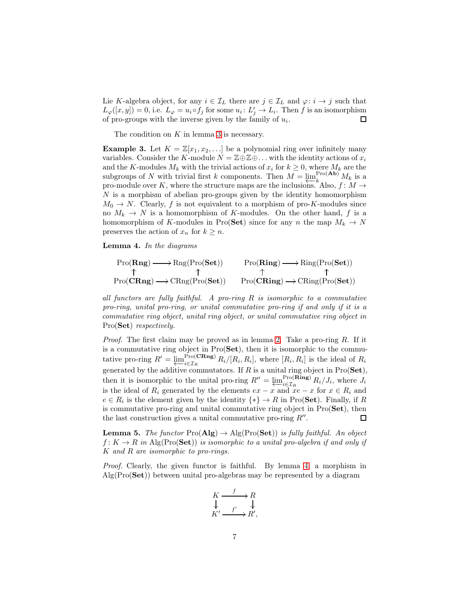Lie K-algebra object, for any  $i \in \mathcal{I}_L$  there are  $j \in \mathcal{I}_L$  and  $\varphi: i \to j$  such that  $L_{\varphi}([x,y]) = 0$ , i.e.  $L_{\varphi} = u_i \circ f_j$  for some  $u_i \colon L'_j \to L_i$ . Then f is an isomorphism of pro-groups with the inverse given by the family of  $u_i$ . □

The condition on  $K$  in lemma [3](#page-5-0) is necessary.

<span id="page-6-2"></span>**Example 3.** Let  $K = \mathbb{Z}[x_1, x_2, \ldots]$  be a polynomial ring over infinitely many variables. Consider the K-module  $N = \mathbb{Z} \oplus \mathbb{Z} \oplus \ldots$  with the identity actions of  $x_i$ and the K-modules  $M_k$  with the trivial actions of  $x_i$  for  $k \geq 0$ , where  $M_k$  are the subgroups of N with trivial first k components. Then  $M = \underbrace{\lim_{k} \text{Pro}(\mathbf{Ab})} M_k$  is a pro-module over K, where the structure maps are the inclusions. Also,  $f: M \to$  $N$  is a morphism of abelian pro-groups given by the identity homomorphism  $M_0 \rightarrow N$ . Clearly, f is not equivalent to a morphism of pro-K-modules since no  $M_k \to N$  is a homomorphism of K-modules. On the other hand, f is a homomorphism of K-modules in Pro(Set) since for any n the map  $M_k \to N$ preserves the action of  $x_n$  for  $k \geq n$ .

<span id="page-6-0"></span>Lemma 4. *In the diagrams*

$$
\begin{array}{ccc}\n\Pro(\mathbf{Rng}) \longrightarrow \operatorname{Rng}(\operatorname{Pro}(\mathbf{Set})) & \operatorname{Pro}(\mathbf{Ring}) \longrightarrow \operatorname{Ring}(\operatorname{Pro}(\mathbf{Set})) \\
\uparrow & \uparrow & \uparrow & \uparrow \\
\operatorname{Pro}(\mathbf{CRng}) \longrightarrow \operatorname{CRng}(\operatorname{Pro}(\mathbf{Set})) & \operatorname{Pro}(\mathbf{CRing}) \longrightarrow \operatorname{CRing}(\operatorname{Pro}(\mathbf{Set}))\n\end{array}
$$

*all functors are fully faithful. A pro-ring* R *is isomorphic to a commutative pro-ring, unital pro-ring, or unital commutative pro-ring if and only if it is a commutative ring object, unital ring object, or unital commutative ring object in* Pro(Set) *respectively.*

*Proof.* The first claim may be proved as in lemma [2.](#page-4-0) Take a pro-ring R. If it is a commutative ring object in Pro(Set), then it is isomorphic to the commutative pro-ring  $R' = \underleftarrow{\lim}_{i \in \mathcal{I}_R} \Pr(O\mathbf{Rng})$  $\lim_{i \in \mathcal{I}_R} R_i/[R_i, R_i],$  where  $[R_i, R_i]$  is the ideal of  $R_i$ generated by the additive commutators. If R is a unital ring object in  $Pro(\mathbf{Set})$ , then it is isomorphic to the unital pro-ring  $R'' = \underleftarrow{\lim}_{i \in \mathcal{I}_R} \Pr_o(\mathbf{Ring})$  $\sum_{i\in\mathcal{I}_R}^{1\text{ro}(\mathbf{Ring})} R_i/J_i$ , where  $J_i$ is the ideal of  $R_i$  generated by the elements  $ex - x$  and  $xe - x$  for  $x \in R_i$  and  $e \in R_i$  is the element given by the identity  $\{*\} \to R$  in Pro(Set). Finally, if R is commutative pro-ring and unital commutative ring object in Pro(Set), then the last construction gives a unital commutative pro-ring  $R''$ . □

<span id="page-6-1"></span>**Lemma 5.** *The functor*  $\text{Pro}(\mathbf{Alg}) \to \text{Alg}(\text{Pro}(\mathbf{Set}))$  *is fully faithful. An object*  $f: K \to R$  in Alg(Pro(Set)) is isomorphic to a unital pro-algebra if and only if K *and* R *are isomorphic to pro-rings.*

*Proof.* Clearly, the given functor is faithful. By lemma [4,](#page-6-0) a morphism in  $\text{Alg}(\text{Pro}(\mathbf{Set}))$  between unital pro-algebras may be represented by a diagram

$$
\begin{array}{ccc}\nK & \xrightarrow{f} & R \\
\downarrow & & \downarrow \\
K' & \xrightarrow{f'} & R',\n\end{array}
$$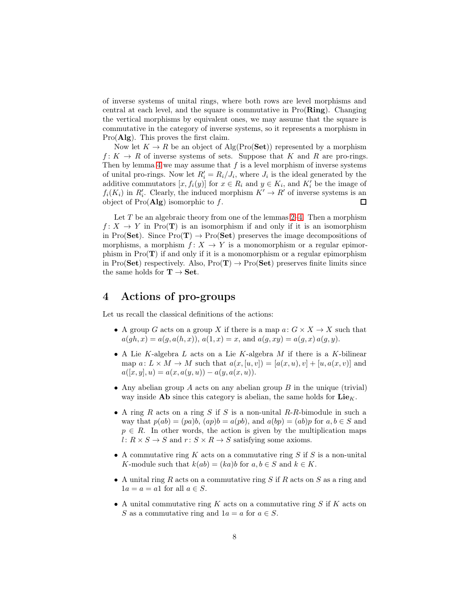of inverse systems of unital rings, where both rows are level morphisms and central at each level, and the square is commutative in  $Pro(Ring)$ . Changing the vertical morphisms by equivalent ones, we may assume that the square is commutative in the category of inverse systems, so it represents a morphism in  $Pro(Alg)$ . This proves the first claim.

Now let  $K \to R$  be an object of Alg(Pro(Set)) represented by a morphism  $f: K \to R$  of inverse systems of sets. Suppose that K and R are pro-rings. Then by lemma [4](#page-6-0) we may assume that  $f$  is a level morphism of inverse systems of unital pro-rings. Now let  $R'_i = R_i / J_i$ , where  $J_i$  is the ideal generated by the additive commutators  $[x, f_i(y)]$  for  $x \in R_i$  and  $y \in K_i$ , and  $K'_i$  be the image of  $f_i(K_i)$  in  $R'_i$ . Clearly, the induced morphism  $K' \to R'$  of inverse systems is an object of  $Pro(Alg)$  isomorphic to f.  $\Box$ 

Let  $T$  be an algebraic theory from one of the lemmas [2–](#page-4-0)[4.](#page-6-0) Then a morphism  $f: X \to Y$  in Pro(T) is an isomorphism if and only if it is an isomorphism in Pro(Set). Since  $Pro(T) \rightarrow Pro(Set)$  preserves the image decompositions of morphisms, a morphism  $f: X \to Y$  is a monomorphism or a regular epimorphism in  $Pro(T)$  if and only if it is a monomorphism or a regular epimorphism in Pro(Set) respectively. Also,  $Pro(T) \rightarrow Pro(Set)$  preserves finite limits since the same holds for  $\mathbf{T} \to \mathbf{Set}$ .

# 4 Actions of pro-groups

Let us recall the classical definitions of the actions:

- A group G acts on a group X if there is a map  $a: G \times X \to X$  such that  $a(gh, x) = a(g, a(h, x)), a(1, x) = x$ , and  $a(g, xy) = a(g, x) a(g, y)$ .
- A Lie K-algebra  $L$  acts on a Lie K-algebra  $M$  if there is a K-bilinear map  $a: L \times M \rightarrow M$  such that  $a(x, [u, v]) = [a(x, u), v] + [u, a(x, v)]$  and  $a([x, y], u) = a(x, a(y, u)) - a(y, a(x, u)).$
- Any abelian group A acts on any abelian group  $B$  in the unique (trivial) way inside  $\mathbf{Ab}$  since this category is abelian, the same holds for  $\mathbf{Lie}_K$ .
- A ring R acts on a ring S if S is a non-unital R-R-bimodule in such a way that  $p(ab) = (pa)b$ ,  $(ap)b = a(pb)$ , and  $a(bp) = (ab)p$  for  $a, b \in S$  and  $p \in R$ . In other words, the action is given by the multiplication maps l:  $R \times S \rightarrow S$  and  $r: S \times R \rightarrow S$  satisfying some axioms.
- A commutative ring  $K$  acts on a commutative ring  $S$  if  $S$  is a non-unital K-module such that  $k(ab) = (ka)b$  for  $a, b \in S$  and  $k \in K$ .
- A unital ring R acts on a commutative ring S if R acts on S as a ring and  $1a = a = a1$  for all  $a \in S$ .
- A unital commutative ring K acts on a commutative ring S if K acts on S as a commutative ring and  $1a = a$  for  $a \in S$ .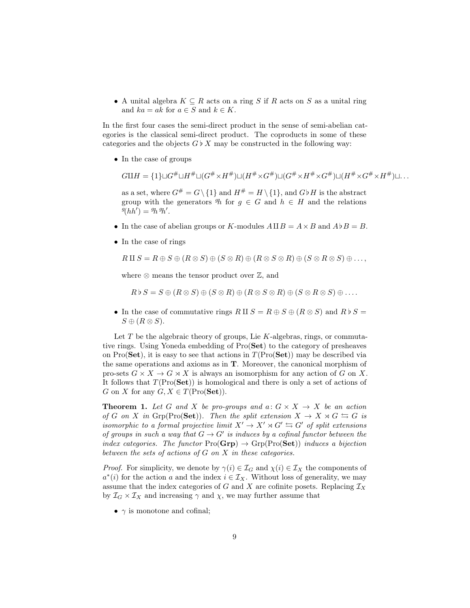• A unital algebra  $K \subseteq R$  acts on a ring S if R acts on S as a unital ring and  $ka = ak$  for  $a \in S$  and  $k \in K$ .

In the first four cases the semi-direct product in the sense of semi-abelian categories is the classical semi-direct product. The coproducts in some of these categories and the objects  $G \flat X$  may be constructed in the following way:

• In the case of groups

$$
G\amalg H = \{1\} \sqcup G^{\#} \sqcup H^{\#} \sqcup (G^{\#} \times H^{\#}) \sqcup (H^{\#} \times G^{\#}) \sqcup (G^{\#} \times H^{\#} \times G^{\#}) \sqcup (H^{\#} \times G^{\#} \times H^{\#}) \sqcup \dots
$$

as a set, where  $G^{\#} = G \setminus \{1\}$  and  $H^{\#} = H \setminus \{1\}$ , and  $G \flat H$  is the abstract group with the generators  $\mathcal{P}_h$  for  $g \in G$  and  $h \in H$  and the relations  $\mathscr{G}(hh') = \mathscr{G}_h \mathscr{G}_h'.$ 

- In the case of abelian groups or K-modules  $A \amalg B = A \times B$  and  $A \flat B = B$ .
- In the case of rings

$$
R \amalg S = R \oplus S \oplus (R \otimes S) \oplus (S \otimes R) \oplus (R \otimes S \otimes R) \oplus (S \otimes R \otimes S) \oplus \ldots,
$$

where  $\otimes$  means the tensor product over  $\mathbb{Z}$ , and

$$
R \triangleright S = S \oplus (R \otimes S) \oplus (S \otimes R) \oplus (R \otimes S \otimes R) \oplus (S \otimes R \otimes S) \oplus \ldots
$$

• In the case of commutative rings  $R \amalg S = R \oplus S \oplus (R \otimes S)$  and  $R \flat S =$  $S \oplus (R \otimes S).$ 

Let  $T$  be the algebraic theory of groups, Lie  $K$ -algebras, rings, or commutative rings. Using Yoneda embedding of Pro(Set) to the category of presheaves on Pro(Set), it is easy to see that actions in  $T(Pro(Set))$  may be described via the same operations and axioms as in T. Moreover, the canonical morphism of pro-sets  $G \times X \to G \rtimes X$  is always an isomorphism for any action of G on X. It follows that  $T(Pro(Set))$  is homological and there is only a set of actions of G on X for any  $G, X \in T(\text{Pro}(\mathbf{Set}))$ .

<span id="page-8-0"></span>**Theorem 1.** Let G and X be pro-groups and  $a: G \times X \rightarrow X$  be an action *of* G on X in Grp(Pro(Set)). Then the split extension  $X \to X \rtimes G \leftrightarrows G$  is *isomorphic to a formal projective limit*  $X' \to X' \rtimes G' \leftrightarrows G'$  *of split extensions of groups in such a way that*  $G \to G'$  *is induces by a cofinal functor between the index categories. The functor*  $\text{Pro}(\text{Grp}) \to \text{Grp}(\text{Pro}(\text{Set}))$  *induces a bijection between the sets of actions of* G *on* X *in these categories.*

*Proof.* For simplicity, we denote by  $\gamma(i) \in \mathcal{I}_G$  and  $\chi(i) \in \mathcal{I}_X$  the components of  $a^*(i)$  for the action a and the index  $i \in \mathcal{I}_X$ . Without loss of generality, we may assume that the index categories of G and X are cofinite posets. Replacing  $\mathcal{I}_X$ by  $\mathcal{I}_G \times \mathcal{I}_X$  and increasing  $\gamma$  and  $\chi$ , we may further assume that

•  $\gamma$  is monotone and cofinal;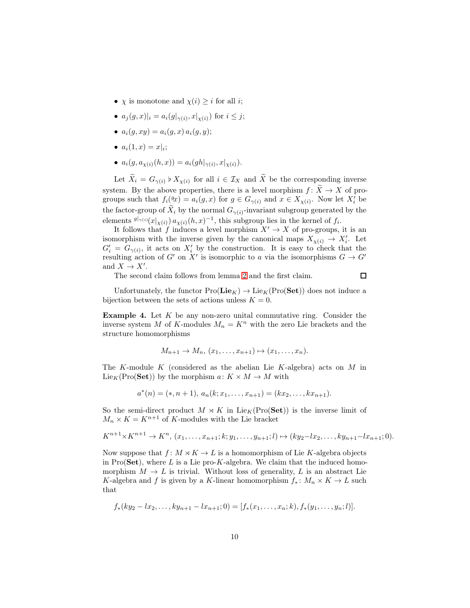- $\chi$  is monotone and  $\chi(i) \geq i$  for all *i*;
- $a_j(g, x)|_i = a_i(g|_{\gamma(i)}, x|_{\chi(i)})$  for  $i \leq j$ ;
- $a_i(q, xy) = a_i(q, x) a_i(q, y);$
- $a_i(1, x) = x|_i;$
- $a_i(g, a_{\chi(i)}(h, x)) = a_i(gh|_{\gamma(i)}, x|_{\chi(i)}).$

Let  $\widetilde{X}_i = G_{\gamma(i)} \flat X_{\chi(i)}$  for all  $i \in \mathcal{I}_X$  and  $\widetilde{X}$  be the corresponding inverse system. By the above properties, there is a level morphism  $f: \widetilde{X} \to X$  of progroups such that  $f_i(x) = a_i(g, x)$  for  $g \in G_{\gamma(i)}$  and  $x \in X_{\chi(i)}$ . Now let  $X_i'$  be the factor-group of  $\widetilde{X}_i$  by the normal  $G_{\gamma(i)}$ -invariant subgroup generated by the elements  $g|_{\gamma(i)}(x|_{\chi(i)}) a_{\chi(i)}(h,x)^{-1}$ , this subgroup lies in the kernel of  $f_i$ .

It follows that f induces a level morphism  $X' \to X$  of pro-groups, it is an isomorphism with the inverse given by the canonical maps  $X_{\chi(i)} \to X'_i$ . Let  $G'_{i} = G_{\gamma(i)}$ , it acts on  $X'_{i}$  by the construction. It is easy to check that the resulting action of G' on X' is isomorphic to a via the isomorphisms  $G \to G'$ and  $X \to X'$ .

The second claim follows from lemma [2](#page-4-0) and the first claim.

Unfortunately, the functor  $Pro(\mathbf{Lie}_K) \to \mathrm{Lie}_K(Pro(\mathbf{Set}))$  does not induce a bijection between the sets of actions unless  $K = 0$ .

 $\Box$ 

**Example 4.** Let  $K$  be any non-zero unital commutative ring. Consider the inverse system M of K-modules  $M_n = K^n$  with the zero Lie brackets and the structure homomorphisms

$$
M_{n+1} \to M_n, (x_1, \ldots, x_{n+1}) \mapsto (x_1, \ldots, x_n).
$$

The K-module K (considered as the abelian Lie K-algebra) acts on  $M$  in Lie<sub>K</sub>(Pro(Set)) by the morphism  $a: K \times M \rightarrow M$  with

$$
a^*(n) = (*, n+1), a_n(k; x_1, \dots, x_{n+1}) = (kx_2, \dots, kx_{n+1}).
$$

So the semi-direct product  $M \rtimes K$  in Lie<sub>K</sub>(Pro(Set)) is the inverse limit of  $M_n \times K = K^{n+1}$  of K-modules with the Lie bracket

$$
K^{n+1} \times K^{n+1} \to K^n, (x_1, \ldots, x_{n+1}; k; y_1, \ldots, y_{n+1}; l) \mapsto (ky_2 - lx_2, \ldots, ky_{n+1} - lx_{n+1}; 0).
$$

Now suppose that  $f: M \rtimes K \to L$  is a homomorphism of Lie K-algebra objects in Pro(Set), where  $L$  is a Lie pro-K-algebra. We claim that the induced homomorphism  $M \to L$  is trivial. Without loss of generality, L is an abstract Lie K-algebra and f is given by a K-linear homomorphism  $f_*: M_n \times K \to L$  such that

$$
f_*(ky_2 - lx_2, \ldots, ky_{n+1} - lx_{n+1}; 0) = [f_*(x_1, \ldots, x_n; k), f_*(y_1, \ldots, y_n; l)].
$$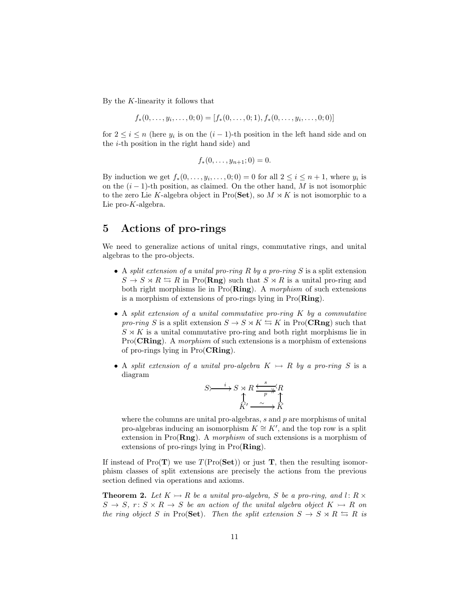By the K-linearity it follows that

$$
f_*(0,\ldots,y_i,\ldots,0;0)=[f_*(0,\ldots,0;1),f_*(0,\ldots,y_i,\ldots,0;0)]
$$

for  $2 \leq i \leq n$  (here  $y_i$  is on the  $(i-1)$ -th position in the left hand side and on the i-th position in the right hand side) and

$$
f_*(0,\ldots,y_{n+1};0)=0.
$$

By induction we get  $f_*(0, \ldots, y_i, \ldots, 0; 0) = 0$  for all  $2 \le i \le n + 1$ , where  $y_i$  is on the  $(i - 1)$ -th position, as claimed. On the other hand, M is not isomorphic to the zero Lie K-algebra object in Pro(Set), so  $M \rtimes K$  is not isomorphic to a Lie pro-K-algebra.

# 5 Actions of pro-rings

We need to generalize actions of unital rings, commutative rings, and unital algebras to the pro-objects.

- A *split extension of a unital pro-ring* R *by a pro-ring* S is a split extension  $S \to S \rtimes R \leftrightarrows R$  in Pro(**Rng**) such that  $S \rtimes R$  is a unital pro-ring and both right morphisms lie in Pro(Ring). A *morphism* of such extensions is a morphism of extensions of pro-rings lying in  $Pro(Ring)$ .
- A *split extension of a unital commutative pro-ring* K *by a commutative pro-ring* S is a split extension  $S \to S \rtimes K \leftrightarrows K$  in Pro(**CRng**) such that  $S \rtimes K$  is a unital commutative pro-ring and both right morphisms lie in Pro(CRing). A *morphism* of such extensions is a morphism of extensions of pro-rings lying in Pro(CRing).
- A *split extension of a unital pro-algebra*  $K \rightarrow R$  *by a pro-ring* S is a diagram

$$
S \rightarrow \rightarrow S \rtimes R \xrightarrow{S} R
$$
  

$$
\uparrow R
$$
  

$$
\uparrow R'
$$
  

$$
\xrightarrow{R' \xrightarrow{p} R} R
$$

where the columns are unital pro-algebras,  $s$  and  $p$  are morphisms of unital pro-algebras inducing an isomorphism  $K \cong K'$ , and the top row is a split extension in Pro(Rng). A *morphism* of such extensions is a morphism of extensions of pro-rings lying in Pro(Ring).

If instead of Pro( $\mathbf{T}$ ) we use  $T(\text{Pro}(\mathbf{Set}))$  or just  $\mathbf{T}$ , then the resulting isomorphism classes of split extensions are precisely the actions from the previous section defined via operations and axioms.

<span id="page-10-0"></span>**Theorem 2.** Let  $K \rightarrow R$  be a unital pro-algebra, S be a pro-ring, and l:  $R \times$  $S \to S$ ,  $r: S \times R \to S$  *be an action of the unital algebra object*  $K \to R$  *on the ring object* S *in* Pro(Set). Then the split extension  $S \to S \rtimes R \leftrightarrows R$  is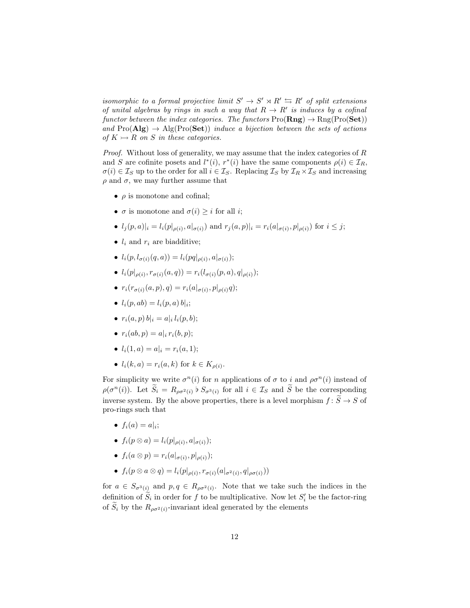*isomorphic to a formal projective limit*  $S' \to S' \rtimes R' \leftrightarrows R'$  *of split extensions of unital algebras by rings in such a way that*  $R \rightarrow R'$  *is induces by a cofinal functor between the index categories. The functors*  $\text{Pro}(\mathbf{Rng}) \to \text{Rng}(\text{Pro}(\mathbf{Set}))$ and  $\text{Pro}(\mathbf{Alg}) \to \text{Alg}(\text{Pro}(\mathbf{Set}))$  *induce a bijection between the sets of actions of*  $K \rightarrow R$  *on S in these categories.* 

*Proof.* Without loss of generality, we may assume that the index categories of R and S are cofinite posets and  $l^*(i)$ ,  $r^*(i)$  have the same components  $\rho(i) \in \mathcal{I}_R$ ,  $\sigma(i) \in \mathcal{I}_S$  up to the order for all  $i \in \mathcal{I}_S$ . Replacing  $\mathcal{I}_S$  by  $\mathcal{I}_R \times \mathcal{I}_S$  and increasing  $\rho$  and  $\sigma$ , we may further assume that

- $\bullet$   $\rho$  is monotone and cofinal;
- $\sigma$  is monotone and  $\sigma(i) \geq i$  for all *i*;
- $l_j(p, a)|_i = l_i(p|_{\rho(i)}, a|_{\sigma(i)})$  and  $r_j(a, p)|_i = r_i(a|_{\sigma(i)}, p|_{\rho(i)})$  for  $i \leq j$ ;
- $l_i$  and  $r_i$  are biadditive;
- $l_i(p, l_{\sigma(i)}(q, a)) = l_i(pq|_{\rho(i)}, a|_{\sigma(i)})$ ;
- $l_i(p|_{\rho(i)}, r_{\sigma(i)}(a, q)) = r_i(l_{\sigma(i)}(p, a), q|_{\rho(i)})$ ;
- $r_i(r_{\sigma(i)}(a, p), q) = r_i(a|_{\sigma(i)}, p|_{\rho(i)}q);$
- $l_i(p, ab) = l_i(p, a) b | i;$
- $r_i(a, p) b|_i = a|_i l_i(p, b);$
- $r_i(ab, p) = a | i r_i(b, p);$
- $l_i(1, a) = a|_i = r_i(a, 1);$
- $l_i(k, a) = r_i(a, k)$  for  $k \in K_{\rho(i)}$ .

For simplicity we write  $\sigma^n(i)$  for n applications of  $\sigma$  to i and  $\rho \sigma^n(i)$  instead of  $\rho(\sigma^n(i))$ . Let  $\widetilde{S}_i = R_{\rho \sigma^2(i)}$   $\flat S_{\sigma^3(i)}$  for all  $i \in \mathcal{I}_S$  and  $\widetilde{S}$  be the corresponding inverse system. By the above properties, there is a level morphism  $f: \widetilde{S} \to S$  of pro-rings such that

- $f_i(a) = a|_i;$
- $f_i(p \otimes a) = l_i(p|_{\rho(i)}, a|_{\sigma(i)})$ ;
- $f_i(a \otimes p) = r_i(a|_{\sigma(i)}, p|_{\rho(i)})$ ;
- $f_i(p \otimes a \otimes q) = l_i(p|_{\rho(i)}, r_{\sigma(i)}(a|_{\sigma^2(i)}, q|_{\rho\sigma(i)}))$

for  $a \in S_{\sigma^3(i)}$  and  $p, q \in R_{\rho\sigma^2(i)}$ . Note that we take such the indices in the definition of  $S_i$  in order for f to be multiplicative. Now let  $S_i'$  be the factor-ring of  $\widetilde{S}_i$  by the  $R_{\rho\sigma^2(i)}$ -invariant ideal generated by the elements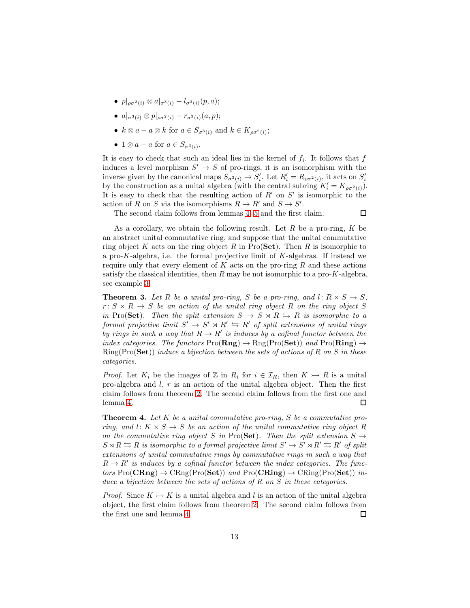- $p|_{\rho\sigma^2(i)} \otimes a|_{\sigma^3(i)} l_{\sigma^3(i)}(p, a);$
- $a|_{\sigma^3(i)} \otimes p|_{\rho\sigma^2(i)} r_{\sigma^3(i)}(a, p);$
- $k \otimes a a \otimes k$  for  $a \in S_{\sigma^3(i)}$  and  $k \in K_{\rho\sigma^2(i)}$ ;
- $1 \otimes a a$  for  $a \in S_{\sigma^3(i)}$ .

It is easy to check that such an ideal lies in the kernel of  $f_i$ . It follows that  $f$ induces a level morphism  $S' \to S$  of pro-rings, it is an isomorphism with the inverse given by the canonical maps  $S_{\sigma^3(i)} \to S'_i$ . Let  $R'_i = R_{\rho \sigma^2(i)}$ , it acts on  $S'_i$ by the construction as a unital algebra (with the central subring  $K'_i = K_{\rho \sigma^2(i)}$ ). It is easy to check that the resulting action of  $R'$  on  $S'$  is isomorphic to the action of R on S via the isomorphisms  $R \to R'$  and  $S \to S'$ .

The second claim follows from lemmas [4,](#page-6-0) [5](#page-6-1) and the first claim.

 $\Box$ 

As a corollary, we obtain the following result. Let  $R$  be a pro-ring,  $K$  be an abstract unital commutative ring, and suppose that the unital commutative ring object K acts on the ring object R in Pro(Set). Then R is isomorphic to a pro-K-algebra, i.e. the formal projective limit of K-algebras. If instead we require only that every element of  $K$  acts on the pro-ring  $R$  and these actions satisfy the classical identities, then  $R$  may be not isomorphic to a pro- $K$ -algebra, see example [3.](#page-6-2)

<span id="page-12-0"></span>**Theorem 3.** Let R be a unital pro-ring, S be a pro-ring, and l:  $R \times S \rightarrow S$ ,  $r: S \times R \rightarrow S$  *be an action of the unital ring object* R *on the ring object* S *in* Pro(Set). Then the split extension  $S \to S \rtimes R \leftrightarrows R$  is isomorphic to a *formal projective limit*  $S' \to S' \rtimes R' \leftrightarrows R'$  *of split extensions of unital rings by rings in such a way that*  $R \to R'$  *is induces by a cofinal functor between the index categories. The functors*  $\text{Pro}(\mathbf{Rng}) \to \text{Rng}(\text{Pro}(\mathbf{Set}))$  *and*  $\text{Pro}(\mathbf{Ring}) \to$ Ring(Pro(Set)) *induce a bijection between the sets of actions of* R *on* S *in these categories.*

*Proof.* Let  $K_i$  be the images of Z in  $R_i$  for  $i \in \mathcal{I}_R$ , then  $K \rightarrow R$  is a unital pro-algebra and  $l, r$  is an action of the unital algebra object. Then the first claim follows from theorem [2.](#page-10-0) The second claim follows from the first one and lemma [4.](#page-6-0)  $\Box$ 

<span id="page-12-1"></span>Theorem 4. *Let* K *be a unital commutative pro-ring,* S *be a commutative proring, and*  $l: K \times S \rightarrow S$  *be an action of the unital commutative ring object* R *on the commutative ring object* S *in* Pro(Set). Then the split extension  $S \rightarrow$  $S \rtimes R \leftrightarrows R$  is isomorphic to a formal projective limit  $S' \to S' \rtimes R' \leftrightarrows R'$  of split *extensions of unital commutative rings by commutative rings in such a way that*  $R \to R'$  is induces by a cofinal functor between the index categories. The func $tors \, Pro(CRng) \rightarrow CRng(Pro(Set))$  and  $Pro(CRing) \rightarrow CRing(Pro(Set))$  in*duce a bijection between the sets of actions of* R *on* S *in these categories.*

*Proof.* Since  $K \rightarrow K$  is a unital algebra and l is an action of the unital algebra object, the first claim follows from theorem [2.](#page-10-0) The second claim follows from the first one and lemma [4.](#page-6-0)  $\Box$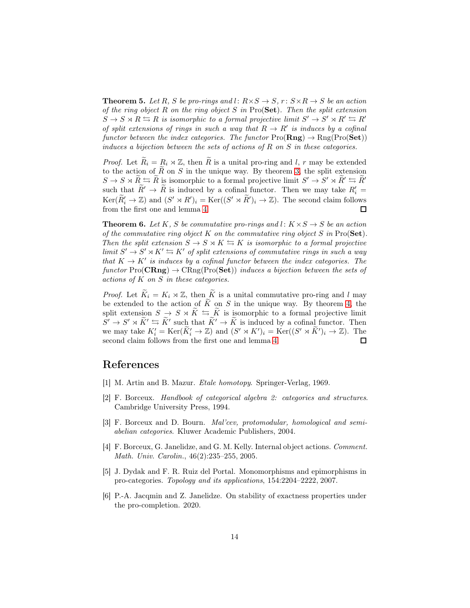**Theorem 5.** Let R, S be pro-rings and l:  $R \times S \rightarrow S$ ,  $r: S \times R \rightarrow S$  be an action *of the ring object* R *on the ring object* S *in* Pro(Set)*. Then the split extension*  $S \to S \rtimes R \leftrightarrows R$  is isomorphic to a formal projective limit  $S' \to S' \rtimes R' \leftrightarrows R'$ *of split extensions of rings in such a way that*  $R \to R'$  *is induces by a cofinal functor between the index categories. The functor*  $\text{Pro}(\mathbf{Rng}) \to \text{Rng}(\text{Pro}(\mathbf{Set}))$ *induces a bijection between the sets of actions of* R *on* S *in these categories.*

*Proof.* Let  $R_i = R_i \rtimes \mathbb{Z}$ , then R is a unital pro-ring and l, r may be extended to the action of  $\overline{R}$  on  $S$  in the unique way. By theorem [3,](#page-12-0) the split extension  $S \to S \rtimes \tilde{R} \leftrightarrows \tilde{R}$  is isomorphic to a formal projective limit  $S' \to S' \rtimes \tilde{R}' \leftrightarrows \tilde{R}'$ such that  $\tilde{R}' \to \tilde{R}$  is induced by a cofinal functor. Then we may take  $R'_i =$  $\text{Ker}(\widetilde{R}'_i \to \mathbb{Z})$  and  $(S' \rtimes R')_i = \text{Ker}((S' \rtimes \widetilde{R}')_i \to \mathbb{Z})$ . The second claim follows from the first one and lemma [4.](#page-6-0) □

<span id="page-13-2"></span>**Theorem 6.** Let K, S be commutative pro-rings and l:  $K \times S \rightarrow S$  be an action *of the commutative ring object* K *on the commutative ring object* S *in* Pro(Set)*. Then the split extension*  $S \to S \rtimes K \leftrightarrows K$  *is isomorphic to a formal projective*  $\lim_{M \to \infty} S' \to S' \rtimes K' \to K'$  of split extensions of commutative rings in such a way *that*  $K \to K'$  *is induces by a cofinal functor between the index categories. The*  $functor Pro(CRng) \rightarrow CRng(Pro(Set))$  *induces a bijection between the sets of actions of* K *on* S *in these categories.*

*Proof.* Let  $\widetilde{K}_i = K_i \rtimes \mathbb{Z}$ , then  $\widetilde{K}$  is a unital commutative pro-ring and l may be extended to the action of  $\widetilde{K}$  on S in the unique way. By theorem [4,](#page-12-1) the split extension  $S \to S \rtimes \widetilde{K} \leftrightarrows \widetilde{K}$  is isomorphic to a formal projective limit  $S' \rightarrow S' \rtimes \widetilde{K}' \leftrightarrows \widetilde{K}'$  such that  $\widetilde{K}' \rightarrow \widetilde{K}$  is induced by a cofinal functor. Then we may take  $K'_i = \text{Ker}(\tilde{K}'_i \to \mathbb{Z})$  and  $(S' \rtimes K')_i = \text{Ker}((S' \rtimes \tilde{K}')_i \to \mathbb{Z})$ . The second claim follows from the first one and lemma [4.](#page-6-0)  $\Box$ 

### <span id="page-13-0"></span>References

- <span id="page-13-5"></span>[1] M. Artin and B. Mazur. *Etale homotopy*. Springer-Verlag, 1969.
- [2] F. Borceux. *Handbook of categorical algebra 2: categories and structures*. Cambridge University Press, 1994.
- <span id="page-13-3"></span>[3] F. Borceux and D. Bourn. *Mal'cev, protomodular, homological and semiabelian categories*. Kluwer Academic Publishers, 2004.
- <span id="page-13-6"></span>[4] F. Borceux, G. Janelidze, and G. M. Kelly. Internal object actions. *Comment. Math. Univ. Carolin.*, 46(2):235–255, 2005.
- <span id="page-13-4"></span>[5] J. Dydak and F. R. Ruiz del Portal. Monomorphisms and epimorphisms in pro-categories. *Topology and its applications*, 154:2204–2222, 2007.
- <span id="page-13-1"></span>[6] P.-A. Jacqmin and Z. Janelidze. On stability of exactness properties under the pro-completion. 2020.